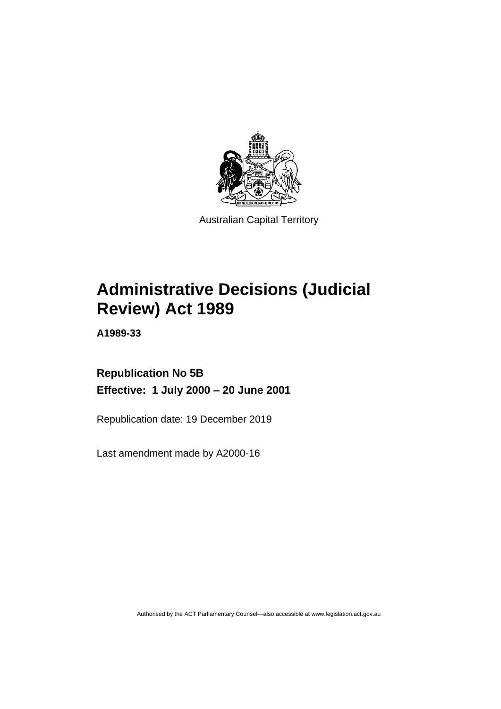

Australian Capital Territory

# **Administrative Decisions (Judicial Review) Act 1989**

**A1989-33**

**Republication No 5B Effective: 1 July 2000 – 20 June 2001**

Republication date: 19 December 2019

Last amendment made by A2000-16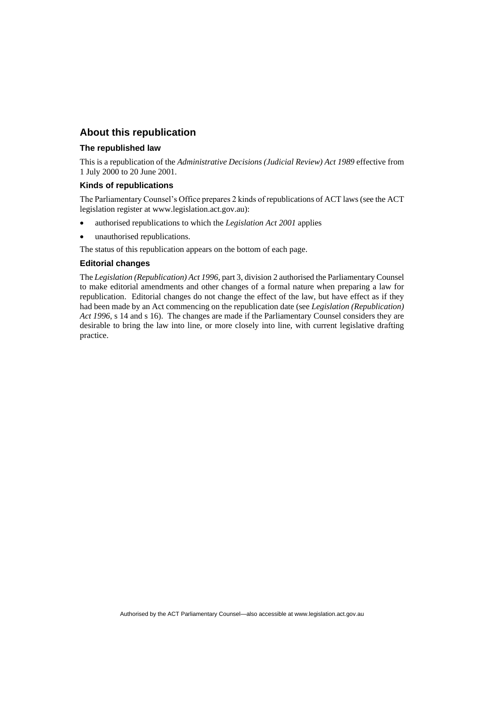### **About this republication**

#### **The republished law**

This is a republication of the *Administrative Decisions (Judicial Review) Act 1989* effective from 1 July 2000 to 20 June 2001.

#### **Kinds of republications**

The Parliamentary Counsel's Office prepares 2 kinds of republications of ACT laws (see the ACT legislation register at www.legislation.act.gov.au):

- authorised republications to which the *Legislation Act 2001* applies
- unauthorised republications.

The status of this republication appears on the bottom of each page.

#### **Editorial changes**

The *Legislation (Republication) Act 1996*, part 3, division 2 authorised the Parliamentary Counsel to make editorial amendments and other changes of a formal nature when preparing a law for republication. Editorial changes do not change the effect of the law, but have effect as if they had been made by an Act commencing on the republication date (see *Legislation (Republication) Act 1996*, s 14 and s 16). The changes are made if the Parliamentary Counsel considers they are desirable to bring the law into line, or more closely into line, with current legislative drafting practice.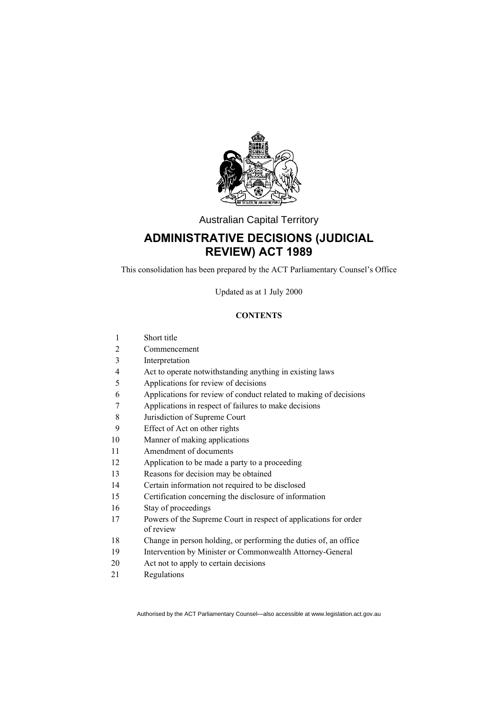

Australian Capital Territory

## **ADMINISTRATIVE DECISIONS (JUDICIAL REVIEW) ACT 1989**

This consolidation has been prepared by the ACT Parliamentary Counsel's Office

Updated as at 1 July 2000

#### **CONTENTS**

- Short title
- Commencement
- Interpretation
- Act to operate notwithstanding anything in existing laws
- Applications for review of decisions
- Applications for review of conduct related to making of decisions
- Applications in respect of failures to make decisions
- Jurisdiction of Supreme Court
- Effect of Act on other rights
- Manner of making applications
- Amendment of documents
- Application to be made a party to a proceeding
- Reasons for decision may be obtained
- Certain information not required to be disclosed
- Certification concerning the disclosure of information
- Stay of proceedings
- Powers of the Supreme Court in respect of applications for order of review
- Change in person holding, or performing the duties of, an office
- Intervention by Minister or Commonwealth Attorney-General
- Act not to apply to certain decisions
- Regulations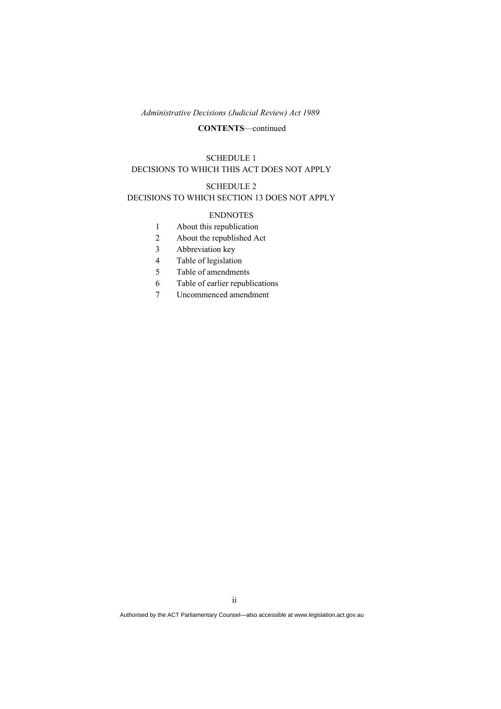#### **CONTENTS**—continued

#### SCHEDULE 1

### DECISIONS TO WHICH THIS ACT DOES NOT APPLY

#### SCHEDULE 2

#### DECISIONS TO WHICH SECTION 13 DOES NOT APPLY

#### ENDNOTES

- 1 About this republication
- 2 About the republished Act
- 3 Abbreviation key
- 4 Table of legislation
- 5 Table of amendments
- 6 Table of earlier republications
- 7 Uncommenced amendment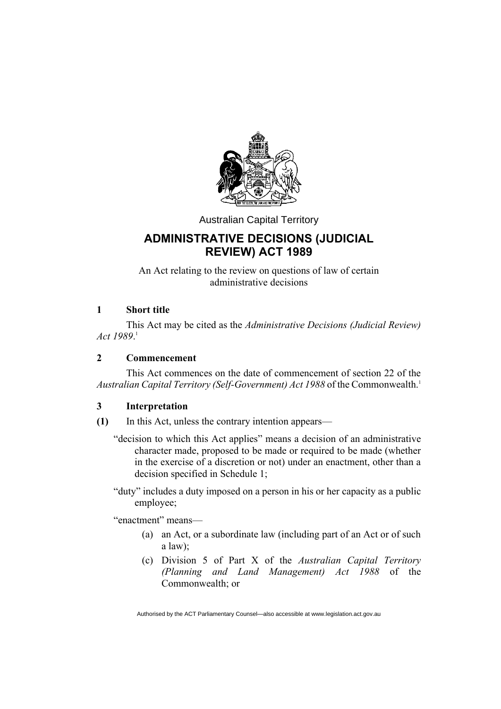

Australian Capital Territory

# **ADMINISTRATIVE DECISIONS (JUDICIAL REVIEW) ACT 1989**

An Act relating to the review on questions of law of certain administrative decisions

### **1 Short title**

This Act may be cited as the *Administrative Decisions (Judicial Review) Act 1989*. 1

### **2 Commencement**

This Act commences on the date of commencement of section 22 of the Australian Capital Territory (Self-Government) Act 1988 of the Commonwealth.<sup>1</sup>

### **3 Interpretation**

- **(1)** In this Act, unless the contrary intention appears—
	- "decision to which this Act applies" means a decision of an administrative character made, proposed to be made or required to be made (whether in the exercise of a discretion or not) under an enactment, other than a decision specified in Schedule 1;
	- "duty" includes a duty imposed on a person in his or her capacity as a public employee;

"enactment" means—

- (a) an Act, or a subordinate law (including part of an Act or of such a law);
- (c) Division 5 of Part X of the *Australian Capital Territory (Planning and Land Management) Act 1988* of the Commonwealth; or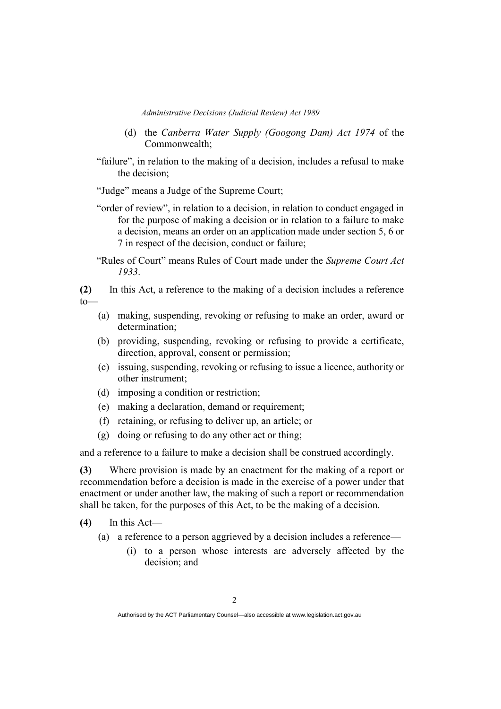- (d) the *Canberra Water Supply (Googong Dam) Act 1974* of the Commonwealth;
- "failure", in relation to the making of a decision, includes a refusal to make the decision;

"Judge" means a Judge of the Supreme Court;

- "order of review", in relation to a decision, in relation to conduct engaged in for the purpose of making a decision or in relation to a failure to make a decision, means an order on an application made under section 5, 6 or 7 in respect of the decision, conduct or failure;
- "Rules of Court" means Rules of Court made under the *Supreme Court Act 1933*.

**(2)** In this Act, a reference to the making of a decision includes a reference  $t_0$ 

- (a) making, suspending, revoking or refusing to make an order, award or determination;
- (b) providing, suspending, revoking or refusing to provide a certificate, direction, approval, consent or permission;
- (c) issuing, suspending, revoking or refusing to issue a licence, authority or other instrument;
- (d) imposing a condition or restriction;
- (e) making a declaration, demand or requirement;
- (f) retaining, or refusing to deliver up, an article; or
- (g) doing or refusing to do any other act or thing;

and a reference to a failure to make a decision shall be construed accordingly.

**(3)** Where provision is made by an enactment for the making of a report or recommendation before a decision is made in the exercise of a power under that enactment or under another law, the making of such a report or recommendation shall be taken, for the purposes of this Act, to be the making of a decision.

- **(4)** In this Act—
	- (a) a reference to a person aggrieved by a decision includes a reference—
		- (i) to a person whose interests are adversely affected by the decision; and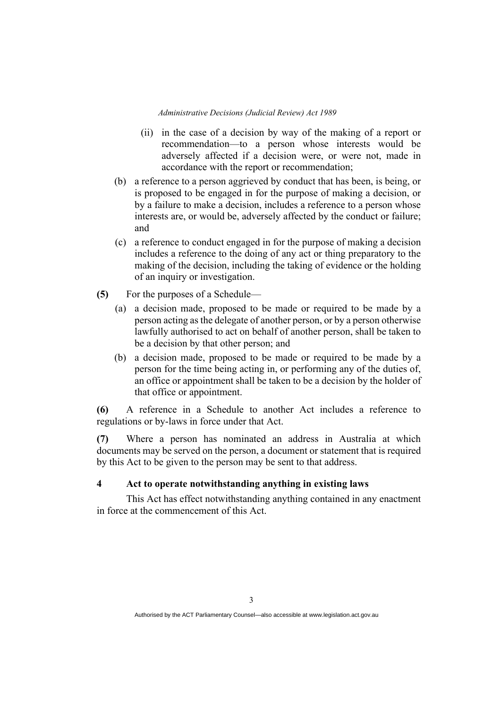- (ii) in the case of a decision by way of the making of a report or recommendation—to a person whose interests would be adversely affected if a decision were, or were not, made in accordance with the report or recommendation;
- (b) a reference to a person aggrieved by conduct that has been, is being, or is proposed to be engaged in for the purpose of making a decision, or by a failure to make a decision, includes a reference to a person whose interests are, or would be, adversely affected by the conduct or failure; and
- (c) a reference to conduct engaged in for the purpose of making a decision includes a reference to the doing of any act or thing preparatory to the making of the decision, including the taking of evidence or the holding of an inquiry or investigation.
- **(5)** For the purposes of a Schedule—
	- (a) a decision made, proposed to be made or required to be made by a person acting as the delegate of another person, or by a person otherwise lawfully authorised to act on behalf of another person, shall be taken to be a decision by that other person; and
	- (b) a decision made, proposed to be made or required to be made by a person for the time being acting in, or performing any of the duties of, an office or appointment shall be taken to be a decision by the holder of that office or appointment.

**(6)** A reference in a Schedule to another Act includes a reference to regulations or by-laws in force under that Act.

**(7)** Where a person has nominated an address in Australia at which documents may be served on the person, a document or statement that is required by this Act to be given to the person may be sent to that address.

### **4 Act to operate notwithstanding anything in existing laws**

This Act has effect notwithstanding anything contained in any enactment in force at the commencement of this Act.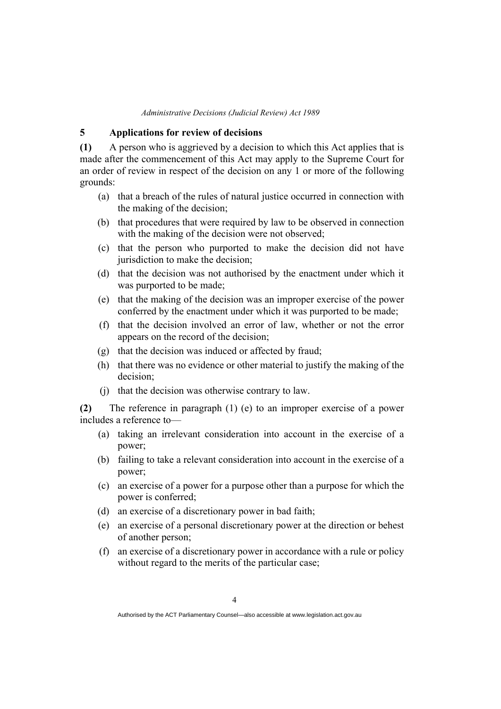### **5 Applications for review of decisions**

**(1)** A person who is aggrieved by a decision to which this Act applies that is made after the commencement of this Act may apply to the Supreme Court for an order of review in respect of the decision on any 1 or more of the following grounds:

- (a) that a breach of the rules of natural justice occurred in connection with the making of the decision;
- (b) that procedures that were required by law to be observed in connection with the making of the decision were not observed;
- (c) that the person who purported to make the decision did not have jurisdiction to make the decision;
- (d) that the decision was not authorised by the enactment under which it was purported to be made;
- (e) that the making of the decision was an improper exercise of the power conferred by the enactment under which it was purported to be made;
- (f) that the decision involved an error of law, whether or not the error appears on the record of the decision;
- (g) that the decision was induced or affected by fraud;
- (h) that there was no evidence or other material to justify the making of the decision;
- (j) that the decision was otherwise contrary to law.

**(2)** The reference in paragraph (1) (e) to an improper exercise of a power includes a reference to—

- (a) taking an irrelevant consideration into account in the exercise of a power;
- (b) failing to take a relevant consideration into account in the exercise of a power;
- (c) an exercise of a power for a purpose other than a purpose for which the power is conferred;
- (d) an exercise of a discretionary power in bad faith;
- (e) an exercise of a personal discretionary power at the direction or behest of another person;
- (f) an exercise of a discretionary power in accordance with a rule or policy without regard to the merits of the particular case;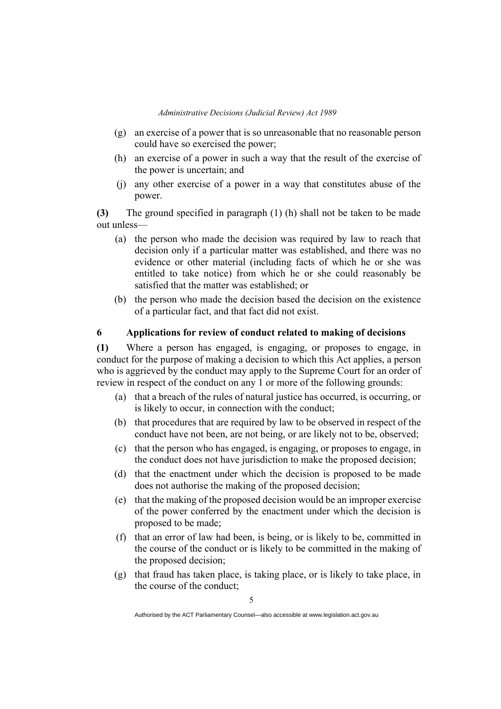- (g) an exercise of a power that is so unreasonable that no reasonable person could have so exercised the power;
- (h) an exercise of a power in such a way that the result of the exercise of the power is uncertain; and
- (j) any other exercise of a power in a way that constitutes abuse of the power.

**(3)** The ground specified in paragraph (1) (h) shall not be taken to be made out unless—

- (a) the person who made the decision was required by law to reach that decision only if a particular matter was established, and there was no evidence or other material (including facts of which he or she was entitled to take notice) from which he or she could reasonably be satisfied that the matter was established; or
- (b) the person who made the decision based the decision on the existence of a particular fact, and that fact did not exist.

### **6 Applications for review of conduct related to making of decisions**

**(1)** Where a person has engaged, is engaging, or proposes to engage, in conduct for the purpose of making a decision to which this Act applies, a person who is aggrieved by the conduct may apply to the Supreme Court for an order of review in respect of the conduct on any 1 or more of the following grounds:

- (a) that a breach of the rules of natural justice has occurred, is occurring, or is likely to occur, in connection with the conduct;
- (b) that procedures that are required by law to be observed in respect of the conduct have not been, are not being, or are likely not to be, observed;
- (c) that the person who has engaged, is engaging, or proposes to engage, in the conduct does not have jurisdiction to make the proposed decision;
- (d) that the enactment under which the decision is proposed to be made does not authorise the making of the proposed decision;
- (e) that the making of the proposed decision would be an improper exercise of the power conferred by the enactment under which the decision is proposed to be made;
- (f) that an error of law had been, is being, or is likely to be, committed in the course of the conduct or is likely to be committed in the making of the proposed decision;
- (g) that fraud has taken place, is taking place, or is likely to take place, in the course of the conduct;

Authorised by the ACT Parliamentary Counsel—also accessible at www.legislation.act.gov.au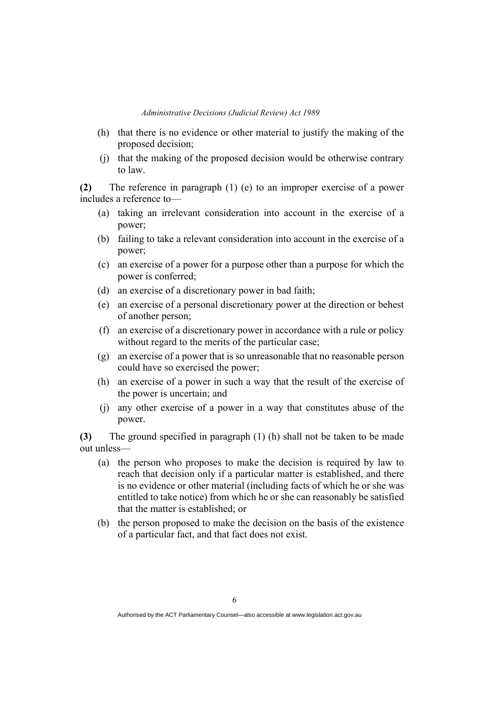- (h) that there is no evidence or other material to justify the making of the proposed decision;
- (j) that the making of the proposed decision would be otherwise contrary to law.

**(2)** The reference in paragraph (1) (e) to an improper exercise of a power includes a reference to—

- (a) taking an irrelevant consideration into account in the exercise of a power;
- (b) failing to take a relevant consideration into account in the exercise of a power;
- (c) an exercise of a power for a purpose other than a purpose for which the power is conferred;
- (d) an exercise of a discretionary power in bad faith;
- (e) an exercise of a personal discretionary power at the direction or behest of another person;
- (f) an exercise of a discretionary power in accordance with a rule or policy without regard to the merits of the particular case;
- (g) an exercise of a power that is so unreasonable that no reasonable person could have so exercised the power;
- (h) an exercise of a power in such a way that the result of the exercise of the power is uncertain; and
- (j) any other exercise of a power in a way that constitutes abuse of the power.

**(3)** The ground specified in paragraph (1) (h) shall not be taken to be made out unless—

- (a) the person who proposes to make the decision is required by law to reach that decision only if a particular matter is established, and there is no evidence or other material (including facts of which he or she was entitled to take notice) from which he or she can reasonably be satisfied that the matter is established; or
- (b) the person proposed to make the decision on the basis of the existence of a particular fact, and that fact does not exist.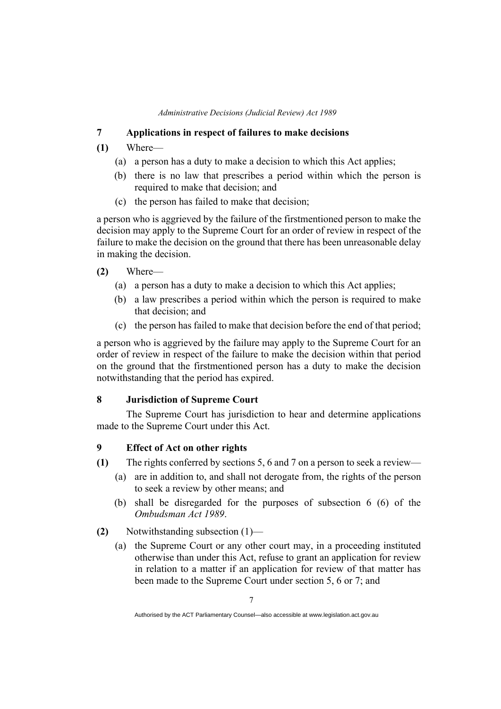### **7 Applications in respect of failures to make decisions**

### **(1)** Where—

- (a) a person has a duty to make a decision to which this Act applies;
- (b) there is no law that prescribes a period within which the person is required to make that decision; and
- (c) the person has failed to make that decision;

a person who is aggrieved by the failure of the firstmentioned person to make the decision may apply to the Supreme Court for an order of review in respect of the failure to make the decision on the ground that there has been unreasonable delay in making the decision.

### **(2)** Where—

- (a) a person has a duty to make a decision to which this Act applies;
- (b) a law prescribes a period within which the person is required to make that decision; and
- (c) the person has failed to make that decision before the end of that period;

a person who is aggrieved by the failure may apply to the Supreme Court for an order of review in respect of the failure to make the decision within that period on the ground that the firstmentioned person has a duty to make the decision notwithstanding that the period has expired.

### **8 Jurisdiction of Supreme Court**

The Supreme Court has jurisdiction to hear and determine applications made to the Supreme Court under this Act.

### **9 Effect of Act on other rights**

- **(1)** The rights conferred by sections 5, 6 and 7 on a person to seek a review—
	- (a) are in addition to, and shall not derogate from, the rights of the person to seek a review by other means; and
	- (b) shall be disregarded for the purposes of subsection 6 (6) of the *Ombudsman Act 1989*.

**(2)** Notwithstanding subsection (1)—

(a) the Supreme Court or any other court may, in a proceeding instituted otherwise than under this Act, refuse to grant an application for review in relation to a matter if an application for review of that matter has been made to the Supreme Court under section 5, 6 or 7; and

Authorised by the ACT Parliamentary Counsel—also accessible at www.legislation.act.gov.au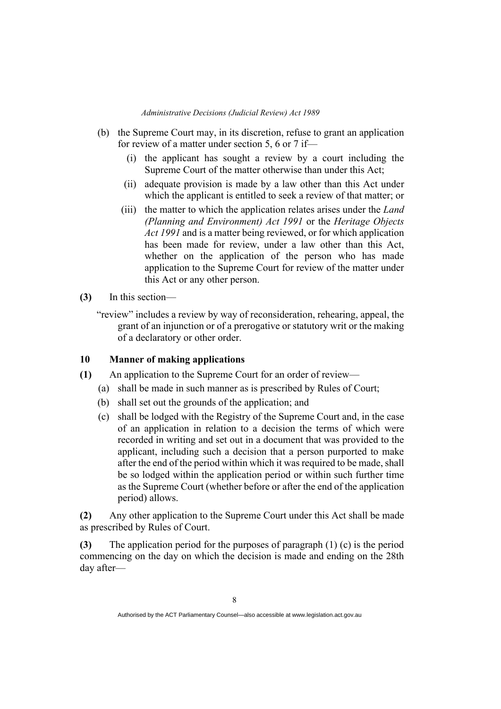- (b) the Supreme Court may, in its discretion, refuse to grant an application for review of a matter under section 5, 6 or 7 if—
	- (i) the applicant has sought a review by a court including the Supreme Court of the matter otherwise than under this Act;
	- (ii) adequate provision is made by a law other than this Act under which the applicant is entitled to seek a review of that matter; or
	- (iii) the matter to which the application relates arises under the *Land (Planning and Environment) Act 1991* or the *Heritage Objects Act 1991* and is a matter being reviewed, or for which application has been made for review, under a law other than this Act, whether on the application of the person who has made application to the Supreme Court for review of the matter under this Act or any other person.
- **(3)** In this section—
	- "review" includes a review by way of reconsideration, rehearing, appeal, the grant of an injunction or of a prerogative or statutory writ or the making of a declaratory or other order.

### **10 Manner of making applications**

- **(1)** An application to the Supreme Court for an order of review—
	- (a) shall be made in such manner as is prescribed by Rules of Court;
	- (b) shall set out the grounds of the application; and
	- (c) shall be lodged with the Registry of the Supreme Court and, in the case of an application in relation to a decision the terms of which were recorded in writing and set out in a document that was provided to the applicant, including such a decision that a person purported to make after the end of the period within which it was required to be made, shall be so lodged within the application period or within such further time as the Supreme Court (whether before or after the end of the application period) allows.

**(2)** Any other application to the Supreme Court under this Act shall be made as prescribed by Rules of Court.

**(3)** The application period for the purposes of paragraph (1) (c) is the period commencing on the day on which the decision is made and ending on the 28th day after—

Authorised by the ACT Parliamentary Counsel—also accessible at www.legislation.act.gov.au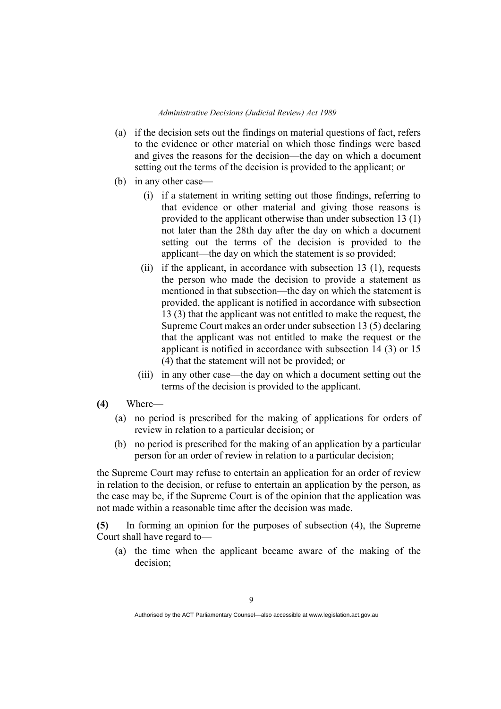- (a) if the decision sets out the findings on material questions of fact, refers to the evidence or other material on which those findings were based and gives the reasons for the decision—the day on which a document setting out the terms of the decision is provided to the applicant; or
- (b) in any other case—
	- (i) if a statement in writing setting out those findings, referring to that evidence or other material and giving those reasons is provided to the applicant otherwise than under subsection 13 (1) not later than the 28th day after the day on which a document setting out the terms of the decision is provided to the applicant—the day on which the statement is so provided;
	- (ii) if the applicant, in accordance with subsection 13 (1), requests the person who made the decision to provide a statement as mentioned in that subsection—the day on which the statement is provided, the applicant is notified in accordance with subsection 13 (3) that the applicant was not entitled to make the request, the Supreme Court makes an order under subsection 13 (5) declaring that the applicant was not entitled to make the request or the applicant is notified in accordance with subsection 14 (3) or 15 (4) that the statement will not be provided; or
	- (iii) in any other case—the day on which a document setting out the terms of the decision is provided to the applicant.
- **(4)** Where—
	- (a) no period is prescribed for the making of applications for orders of review in relation to a particular decision; or
	- (b) no period is prescribed for the making of an application by a particular person for an order of review in relation to a particular decision;

the Supreme Court may refuse to entertain an application for an order of review in relation to the decision, or refuse to entertain an application by the person, as the case may be, if the Supreme Court is of the opinion that the application was not made within a reasonable time after the decision was made.

**(5)** In forming an opinion for the purposes of subsection (4), the Supreme Court shall have regard to—

(a) the time when the applicant became aware of the making of the decision;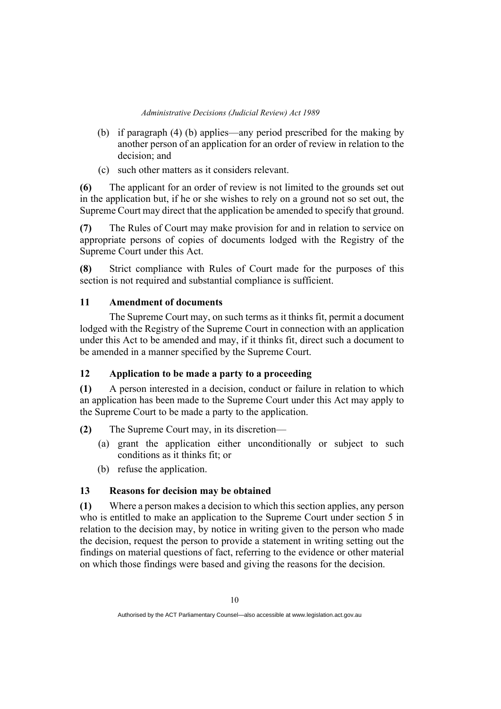- (b) if paragraph (4) (b) applies—any period prescribed for the making by another person of an application for an order of review in relation to the decision; and
- (c) such other matters as it considers relevant.

**(6)** The applicant for an order of review is not limited to the grounds set out in the application but, if he or she wishes to rely on a ground not so set out, the Supreme Court may direct that the application be amended to specify that ground.

**(7)** The Rules of Court may make provision for and in relation to service on appropriate persons of copies of documents lodged with the Registry of the Supreme Court under this Act.

**(8)** Strict compliance with Rules of Court made for the purposes of this section is not required and substantial compliance is sufficient.

### **11 Amendment of documents**

The Supreme Court may, on such terms as it thinks fit, permit a document lodged with the Registry of the Supreme Court in connection with an application under this Act to be amended and may, if it thinks fit, direct such a document to be amended in a manner specified by the Supreme Court.

### **12 Application to be made a party to a proceeding**

**(1)** A person interested in a decision, conduct or failure in relation to which an application has been made to the Supreme Court under this Act may apply to the Supreme Court to be made a party to the application.

**(2)** The Supreme Court may, in its discretion—

- (a) grant the application either unconditionally or subject to such conditions as it thinks fit; or
- (b) refuse the application.

### **13 Reasons for decision may be obtained**

**(1)** Where a person makes a decision to which this section applies, any person who is entitled to make an application to the Supreme Court under section 5 in relation to the decision may, by notice in writing given to the person who made the decision, request the person to provide a statement in writing setting out the findings on material questions of fact, referring to the evidence or other material on which those findings were based and giving the reasons for the decision.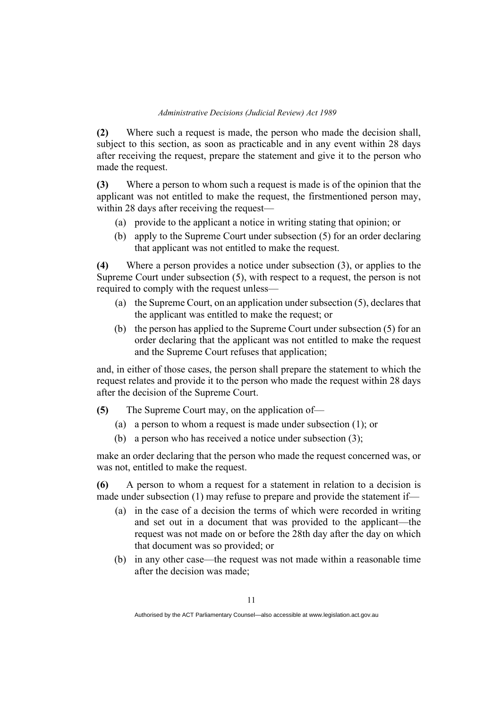**(2)** Where such a request is made, the person who made the decision shall, subject to this section, as soon as practicable and in any event within 28 days after receiving the request, prepare the statement and give it to the person who made the request.

**(3)** Where a person to whom such a request is made is of the opinion that the applicant was not entitled to make the request, the firstmentioned person may, within 28 days after receiving the request—

- (a) provide to the applicant a notice in writing stating that opinion; or
- (b) apply to the Supreme Court under subsection (5) for an order declaring that applicant was not entitled to make the request.

**(4)** Where a person provides a notice under subsection (3), or applies to the Supreme Court under subsection (5), with respect to a request, the person is not required to comply with the request unless—

- (a) the Supreme Court, on an application under subsection (5), declares that the applicant was entitled to make the request; or
- (b) the person has applied to the Supreme Court under subsection (5) for an order declaring that the applicant was not entitled to make the request and the Supreme Court refuses that application;

and, in either of those cases, the person shall prepare the statement to which the request relates and provide it to the person who made the request within 28 days after the decision of the Supreme Court.

**(5)** The Supreme Court may, on the application of—

- (a) a person to whom a request is made under subsection (1); or
- (b) a person who has received a notice under subsection (3);

make an order declaring that the person who made the request concerned was, or was not, entitled to make the request.

**(6)** A person to whom a request for a statement in relation to a decision is made under subsection (1) may refuse to prepare and provide the statement if—

- (a) in the case of a decision the terms of which were recorded in writing and set out in a document that was provided to the applicant—the request was not made on or before the 28th day after the day on which that document was so provided; or
- (b) in any other case—the request was not made within a reasonable time after the decision was made;

Authorised by the ACT Parliamentary Counsel—also accessible at www.legislation.act.gov.au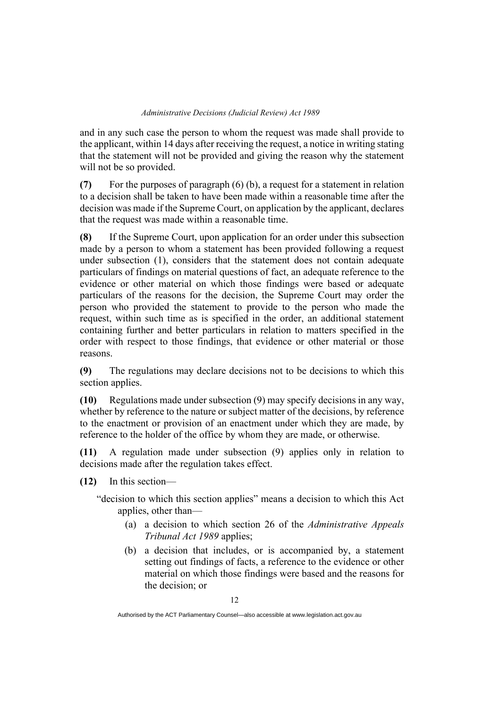and in any such case the person to whom the request was made shall provide to the applicant, within 14 days after receiving the request, a notice in writing stating that the statement will not be provided and giving the reason why the statement will not be so provided.

**(7)** For the purposes of paragraph (6) (b), a request for a statement in relation to a decision shall be taken to have been made within a reasonable time after the decision was made if the Supreme Court, on application by the applicant, declares that the request was made within a reasonable time.

**(8)** If the Supreme Court, upon application for an order under this subsection made by a person to whom a statement has been provided following a request under subsection (1), considers that the statement does not contain adequate particulars of findings on material questions of fact, an adequate reference to the evidence or other material on which those findings were based or adequate particulars of the reasons for the decision, the Supreme Court may order the person who provided the statement to provide to the person who made the request, within such time as is specified in the order, an additional statement containing further and better particulars in relation to matters specified in the order with respect to those findings, that evidence or other material or those reasons.

**(9)** The regulations may declare decisions not to be decisions to which this section applies.

**(10)** Regulations made under subsection (9) may specify decisions in any way, whether by reference to the nature or subject matter of the decisions, by reference to the enactment or provision of an enactment under which they are made, by reference to the holder of the office by whom they are made, or otherwise.

**(11)** A regulation made under subsection (9) applies only in relation to decisions made after the regulation takes effect.

**(12)** In this section—

"decision to which this section applies" means a decision to which this Act applies, other than—

- (a) a decision to which section 26 of the *Administrative Appeals Tribunal Act 1989* applies;
- (b) a decision that includes, or is accompanied by, a statement setting out findings of facts, a reference to the evidence or other material on which those findings were based and the reasons for the decision; or

Authorised by the ACT Parliamentary Counsel—also accessible at www.legislation.act.gov.au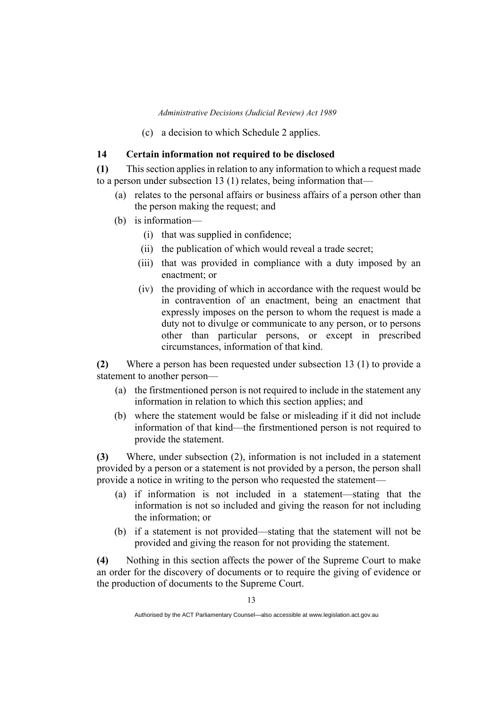(c) a decision to which Schedule 2 applies.

### **14 Certain information not required to be disclosed**

**(1)** This section applies in relation to any information to which a request made to a person under subsection 13 (1) relates, being information that—

- (a) relates to the personal affairs or business affairs of a person other than the person making the request; and
- (b) is information—
	- (i) that was supplied in confidence;
	- (ii) the publication of which would reveal a trade secret;
	- (iii) that was provided in compliance with a duty imposed by an enactment; or
	- (iv) the providing of which in accordance with the request would be in contravention of an enactment, being an enactment that expressly imposes on the person to whom the request is made a duty not to divulge or communicate to any person, or to persons other than particular persons, or except in prescribed circumstances, information of that kind.

**(2)** Where a person has been requested under subsection 13 (1) to provide a statement to another person—

- (a) the firstmentioned person is not required to include in the statement any information in relation to which this section applies; and
- (b) where the statement would be false or misleading if it did not include information of that kind—the firstmentioned person is not required to provide the statement.

**(3)** Where, under subsection (2), information is not included in a statement provided by a person or a statement is not provided by a person, the person shall provide a notice in writing to the person who requested the statement—

- (a) if information is not included in a statement—stating that the information is not so included and giving the reason for not including the information; or
- (b) if a statement is not provided—stating that the statement will not be provided and giving the reason for not providing the statement.

**(4)** Nothing in this section affects the power of the Supreme Court to make an order for the discovery of documents or to require the giving of evidence or the production of documents to the Supreme Court.

Authorised by the ACT Parliamentary Counsel—also accessible at www.legislation.act.gov.au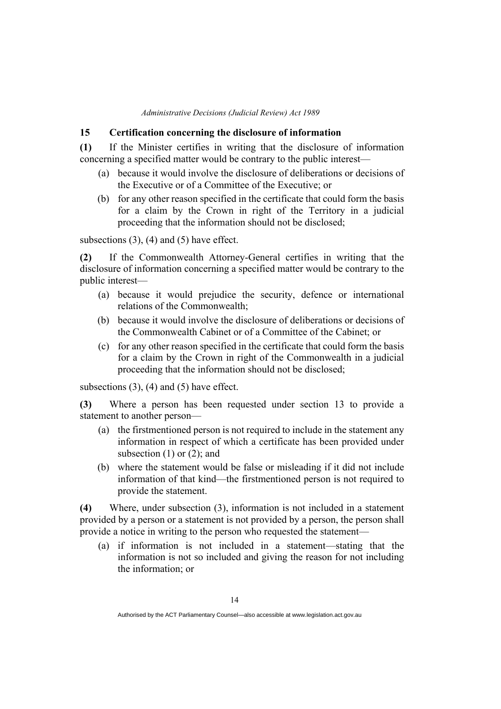### **15 Certification concerning the disclosure of information**

**(1)** If the Minister certifies in writing that the disclosure of information concerning a specified matter would be contrary to the public interest—

- (a) because it would involve the disclosure of deliberations or decisions of the Executive or of a Committee of the Executive; or
- (b) for any other reason specified in the certificate that could form the basis for a claim by the Crown in right of the Territory in a judicial proceeding that the information should not be disclosed;

subsections  $(3)$ ,  $(4)$  and  $(5)$  have effect.

**(2)** If the Commonwealth Attorney-General certifies in writing that the disclosure of information concerning a specified matter would be contrary to the public interest—

- (a) because it would prejudice the security, defence or international relations of the Commonwealth;
- (b) because it would involve the disclosure of deliberations or decisions of the Commonwealth Cabinet or of a Committee of the Cabinet; or
- (c) for any other reason specified in the certificate that could form the basis for a claim by the Crown in right of the Commonwealth in a judicial proceeding that the information should not be disclosed;

subsections (3), (4) and (5) have effect.

**(3)** Where a person has been requested under section 13 to provide a statement to another person—

- (a) the firstmentioned person is not required to include in the statement any information in respect of which a certificate has been provided under subsection (1) or (2); and
- (b) where the statement would be false or misleading if it did not include information of that kind—the firstmentioned person is not required to provide the statement.

**(4)** Where, under subsection (3), information is not included in a statement provided by a person or a statement is not provided by a person, the person shall provide a notice in writing to the person who requested the statement—

(a) if information is not included in a statement—stating that the information is not so included and giving the reason for not including the information; or

Authorised by the ACT Parliamentary Counsel—also accessible at www.legislation.act.gov.au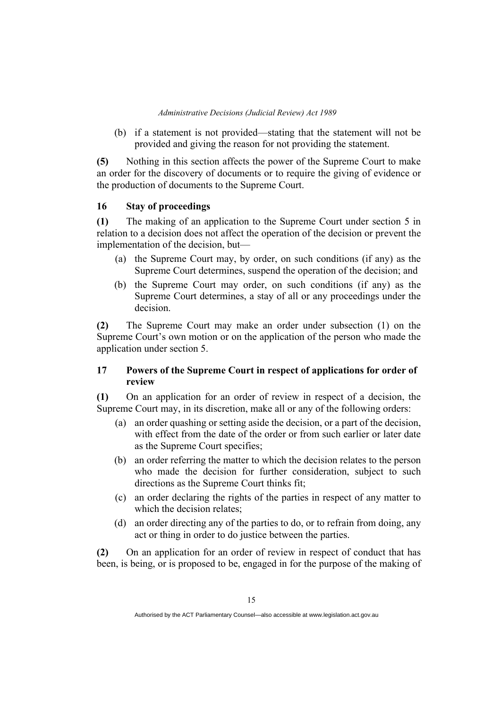(b) if a statement is not provided—stating that the statement will not be provided and giving the reason for not providing the statement.

**(5)** Nothing in this section affects the power of the Supreme Court to make an order for the discovery of documents or to require the giving of evidence or the production of documents to the Supreme Court.

### **16 Stay of proceedings**

**(1)** The making of an application to the Supreme Court under section 5 in relation to a decision does not affect the operation of the decision or prevent the implementation of the decision, but—

- (a) the Supreme Court may, by order, on such conditions (if any) as the Supreme Court determines, suspend the operation of the decision; and
- (b) the Supreme Court may order, on such conditions (if any) as the Supreme Court determines, a stay of all or any proceedings under the decision.

**(2)** The Supreme Court may make an order under subsection (1) on the Supreme Court's own motion or on the application of the person who made the application under section 5.

### **17 Powers of the Supreme Court in respect of applications for order of review**

**(1)** On an application for an order of review in respect of a decision, the Supreme Court may, in its discretion, make all or any of the following orders:

- (a) an order quashing or setting aside the decision, or a part of the decision, with effect from the date of the order or from such earlier or later date as the Supreme Court specifies;
- (b) an order referring the matter to which the decision relates to the person who made the decision for further consideration, subject to such directions as the Supreme Court thinks fit;
- (c) an order declaring the rights of the parties in respect of any matter to which the decision relates;
- (d) an order directing any of the parties to do, or to refrain from doing, any act or thing in order to do justice between the parties.

**(2)** On an application for an order of review in respect of conduct that has been, is being, or is proposed to be, engaged in for the purpose of the making of

Authorised by the ACT Parliamentary Counsel—also accessible at www.legislation.act.gov.au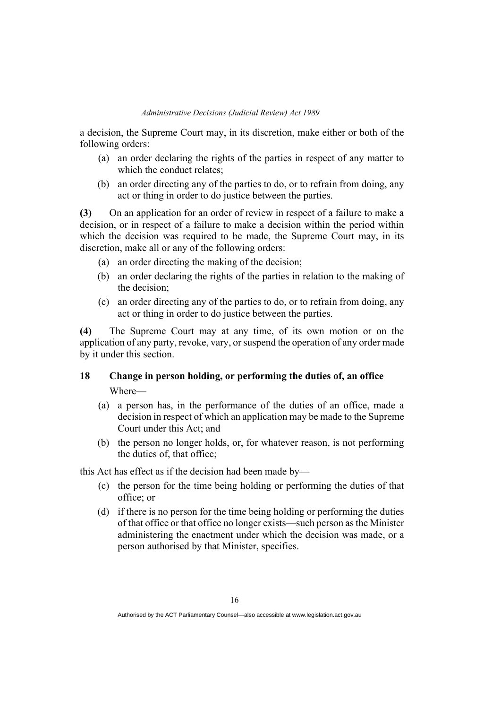a decision, the Supreme Court may, in its discretion, make either or both of the following orders:

- (a) an order declaring the rights of the parties in respect of any matter to which the conduct relates;
- (b) an order directing any of the parties to do, or to refrain from doing, any act or thing in order to do justice between the parties.

**(3)** On an application for an order of review in respect of a failure to make a decision, or in respect of a failure to make a decision within the period within which the decision was required to be made, the Supreme Court may, in its discretion, make all or any of the following orders:

- (a) an order directing the making of the decision;
- (b) an order declaring the rights of the parties in relation to the making of the decision;
- (c) an order directing any of the parties to do, or to refrain from doing, any act or thing in order to do justice between the parties.

**(4)** The Supreme Court may at any time, of its own motion or on the application of any party, revoke, vary, or suspend the operation of any order made by it under this section.

### **18 Change in person holding, or performing the duties of, an office** Where—

- (a) a person has, in the performance of the duties of an office, made a decision in respect of which an application may be made to the Supreme Court under this Act; and
- (b) the person no longer holds, or, for whatever reason, is not performing the duties of, that office;

this Act has effect as if the decision had been made by—

- (c) the person for the time being holding or performing the duties of that office; or
- (d) if there is no person for the time being holding or performing the duties of that office or that office no longer exists—such person as the Minister administering the enactment under which the decision was made, or a person authorised by that Minister, specifies.

Authorised by the ACT Parliamentary Counsel—also accessible at www.legislation.act.gov.au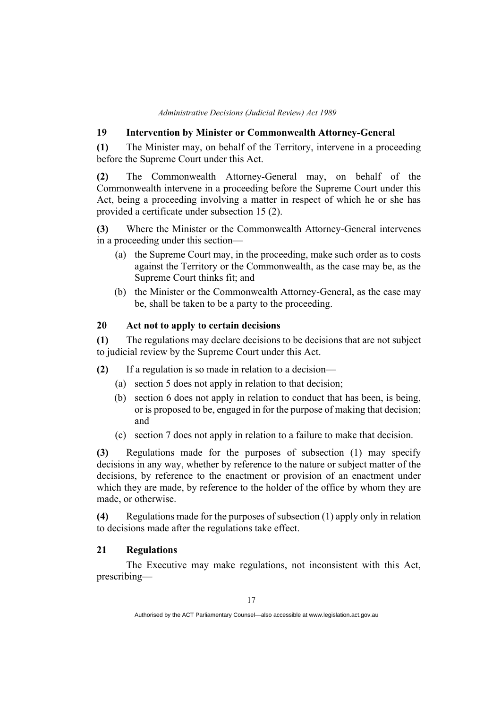### **19 Intervention by Minister or Commonwealth Attorney-General**

**(1)** The Minister may, on behalf of the Territory, intervene in a proceeding before the Supreme Court under this Act.

**(2)** The Commonwealth Attorney-General may, on behalf of the Commonwealth intervene in a proceeding before the Supreme Court under this Act, being a proceeding involving a matter in respect of which he or she has provided a certificate under subsection 15 (2).

**(3)** Where the Minister or the Commonwealth Attorney-General intervenes in a proceeding under this section—

- (a) the Supreme Court may, in the proceeding, make such order as to costs against the Territory or the Commonwealth, as the case may be, as the Supreme Court thinks fit; and
- (b) the Minister or the Commonwealth Attorney-General, as the case may be, shall be taken to be a party to the proceeding.

### **20 Act not to apply to certain decisions**

**(1)** The regulations may declare decisions to be decisions that are not subject to judicial review by the Supreme Court under this Act.

**(2)** If a regulation is so made in relation to a decision—

- (a) section 5 does not apply in relation to that decision;
- (b) section 6 does not apply in relation to conduct that has been, is being, or is proposed to be, engaged in for the purpose of making that decision; and
- (c) section 7 does not apply in relation to a failure to make that decision.

**(3)** Regulations made for the purposes of subsection (1) may specify decisions in any way, whether by reference to the nature or subject matter of the decisions, by reference to the enactment or provision of an enactment under which they are made, by reference to the holder of the office by whom they are made, or otherwise.

**(4)** Regulations made for the purposes of subsection (1) apply only in relation to decisions made after the regulations take effect.

### **21 Regulations**

The Executive may make regulations, not inconsistent with this Act, prescribing—

Authorised by the ACT Parliamentary Counsel—also accessible at www.legislation.act.gov.au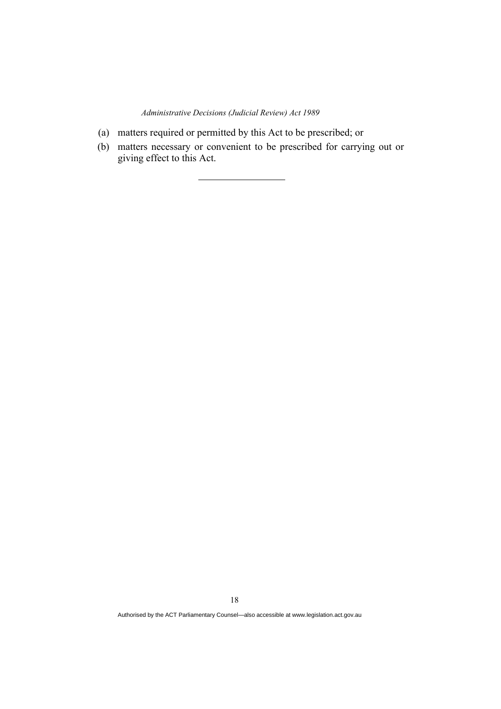- (a) matters required or permitted by this Act to be prescribed; or
- (b) matters necessary or convenient to be prescribed for carrying out or giving effect to this Act.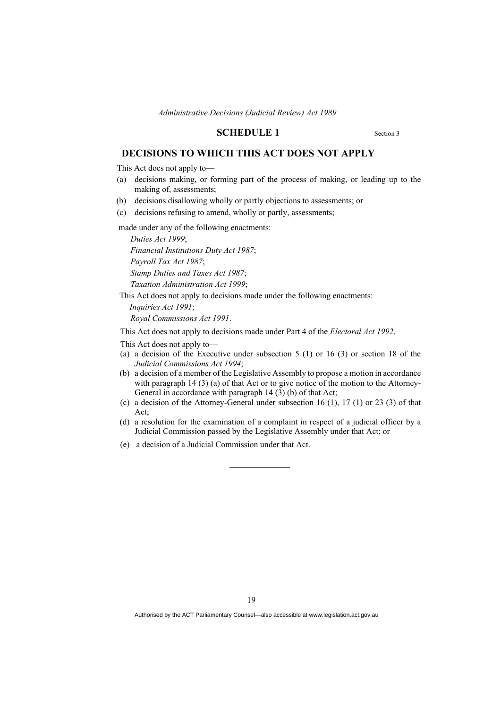#### **SCHEDULE 1** Section 3

### **DECISIONS TO WHICH THIS ACT DOES NOT APPLY**

This Act does not apply to—

- (a) decisions making, or forming part of the process of making, or leading up to the making of, assessments;
- (b) decisions disallowing wholly or partly objections to assessments; or
- (c) decisions refusing to amend, wholly or partly, assessments;

made under any of the following enactments:

*Duties Act 1999*; *Financial Institutions Duty Act 1987*; *Payroll Tax Act 1987*; *Stamp Duties and Taxes Act 1987*; *Taxation Administration Act 1999*;

This Act does not apply to decisions made under the following enactments:

*Inquiries Act 1991*;

*Royal Commissions Act 1991*.

This Act does not apply to decisions made under Part 4 of the *Electoral Act 1992*.

- This Act does not apply to—
- (a) a decision of the Executive under subsection 5 (1) or 16 (3) or section 18 of the *Judicial Commissions Act 1994*;
- (b) a decision of a member of the Legislative Assembly to propose a motion in accordance with paragraph 14 (3) (a) of that Act or to give notice of the motion to the Attorney-General in accordance with paragraph 14 (3) (b) of that Act;
- (c) a decision of the Attorney-General under subsection 16 (1), 17 (1) or 23 (3) of that Act;
- (d) a resolution for the examination of a complaint in respect of a judicial officer by a Judicial Commission passed by the Legislative Assembly under that Act; or
- (e) a decision of a Judicial Commission under that Act.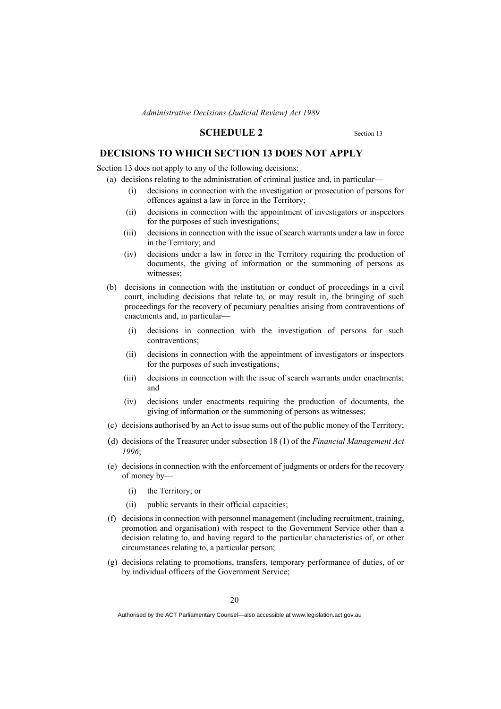#### **SCHEDULE 2** Section 13

### **DECISIONS TO WHICH SECTION 13 DOES NOT APPLY**

Section 13 does not apply to any of the following decisions:

- (a) decisions relating to the administration of criminal justice and, in particular—
	- (i) decisions in connection with the investigation or prosecution of persons for offences against a law in force in the Territory;
	- (ii) decisions in connection with the appointment of investigators or inspectors for the purposes of such investigations;
	- (iii) decisions in connection with the issue of search warrants under a law in force in the Territory; and
	- (iv) decisions under a law in force in the Territory requiring the production of documents, the giving of information or the summoning of persons as witnesses;
- (b) decisions in connection with the institution or conduct of proceedings in a civil court, including decisions that relate to, or may result in, the bringing of such proceedings for the recovery of pecuniary penalties arising from contraventions of enactments and, in particular—
	- (i) decisions in connection with the investigation of persons for such contraventions;
	- (ii) decisions in connection with the appointment of investigators or inspectors for the purposes of such investigations;
	- (iii) decisions in connection with the issue of search warrants under enactments; and
	- (iv) decisions under enactments requiring the production of documents, the giving of information or the summoning of persons as witnesses;
- (c) decisions authorised by an Act to issue sums out of the public money of the Territory;
- (d) decisions of the Treasurer under subsection 18 (1) of the *Financial Management Act 1996*;
- (e) decisions in connection with the enforcement of judgments or orders for the recovery of money by—
	- (i) the Territory; or
	- (ii) public servants in their official capacities;
- (f) decisions in connection with personnel management (including recruitment, training, promotion and organisation) with respect to the Government Service other than a decision relating to, and having regard to the particular characteristics of, or other circumstances relating to, a particular person;
- (g) decisions relating to promotions, transfers, temporary performance of duties, of or by individual officers of the Government Service;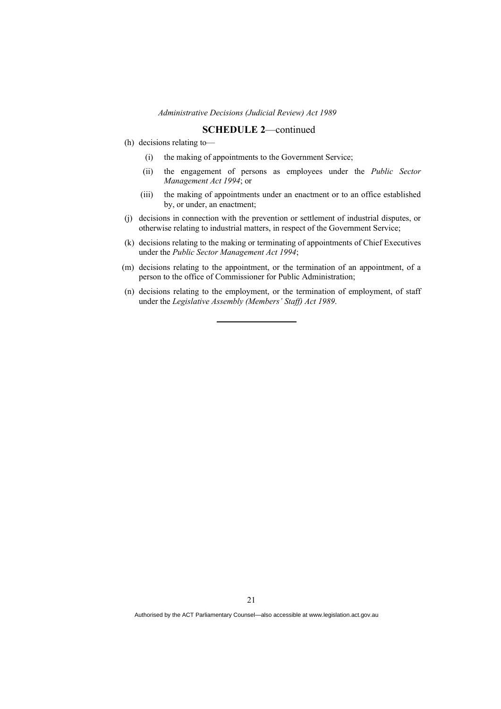#### **SCHEDULE 2**—continued

- (h) decisions relating to—
	- (i) the making of appointments to the Government Service;
	- (ii) the engagement of persons as employees under the *Public Sector Management Act 1994*; or
	- (iii) the making of appointments under an enactment or to an office established by, or under, an enactment;
- (j) decisions in connection with the prevention or settlement of industrial disputes, or otherwise relating to industrial matters, in respect of the Government Service;
- (k) decisions relating to the making or terminating of appointments of Chief Executives under the *Public Sector Management Act 1994*;
- (m) decisions relating to the appointment, or the termination of an appointment, of a person to the office of Commissioner for Public Administration;
- (n) decisions relating to the employment, or the termination of employment, of staff under the *Legislative Assembly (Members' Staff) Act 1989*.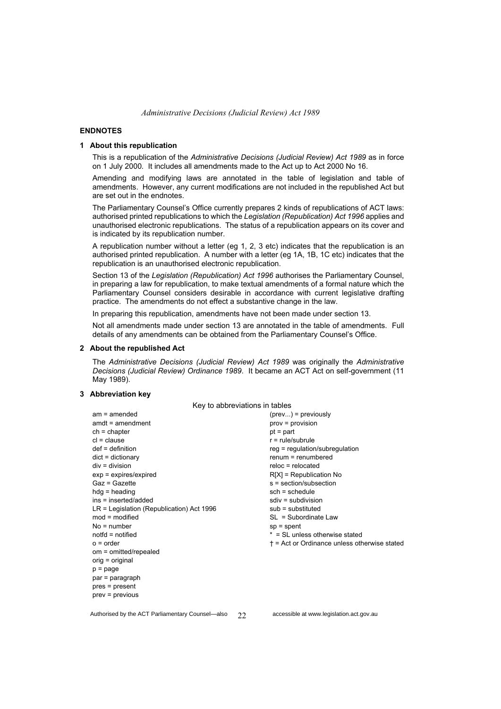#### **ENDNOTES**

#### **1 About this republication**

This is a republication of the *Administrative Decisions (Judicial Review) Act 1989* as in force on 1 July 2000*.* It includes all amendments made to the Act up to Act 2000 No 16.

Amending and modifying laws are annotated in the table of legislation and table of amendments. However, any current modifications are not included in the republished Act but are set out in the endnotes.

The Parliamentary Counsel's Office currently prepares 2 kinds of republications of ACT laws: authorised printed republications to which the *Legislation (Republication) Act 1996* applies and unauthorised electronic republications. The status of a republication appears on its cover and is indicated by its republication number.

A republication number without a letter (eg 1, 2, 3 etc) indicates that the republication is an authorised printed republication. A number with a letter (eg 1A, 1B, 1C etc) indicates that the republication is an unauthorised electronic republication.

Section 13 of the *Legislation (Republication) Act 1996* authorises the Parliamentary Counsel, in preparing a law for republication, to make textual amendments of a formal nature which the Parliamentary Counsel considers desirable in accordance with current legislative drafting practice. The amendments do not effect a substantive change in the law.

In preparing this republication, amendments have not been made under section 13.

Not all amendments made under section 13 are annotated in the table of amendments. Full details of any amendments can be obtained from the Parliamentary Counsel's Office.

#### **2 About the republished Act**

The *Administrative Decisions (Judicial Review) Act 1989* was originally the *Administrative Decisions (Judicial Review) Ordinance 1989*. It became an ACT Act on self-government (11 May 1989).

#### **3 Abbreviation key**

| Key to abbreviations in tables              |                                                      |  |  |
|---------------------------------------------|------------------------------------------------------|--|--|
| $am = amended$                              | $(\text{prev})$ = previously                         |  |  |
| $amdt = amendment$                          | $prov = provision$                                   |  |  |
| $ch = chapter$                              | $pt = part$                                          |  |  |
| $cl = clause$                               | $r = rule/subrule$                                   |  |  |
| $def = definition$                          | $reg = regulation/subregulation$                     |  |  |
| $dict = dictionary$                         | $remum = renumbered$                                 |  |  |
| $div = division$                            | $reloc = relocated$                                  |  |  |
| $exp = expires/expired$                     | $R[X]$ = Republication No                            |  |  |
| $Gaz = Gazette$                             | $s = section/subsection$                             |  |  |
| $hdg =$ heading                             | $sch = schedule$                                     |  |  |
| $ins = inserted/added$                      | $sdiv = subdivision$                                 |  |  |
| $LR =$ Legislation (Republication) Act 1996 | $sub =$ substituted                                  |  |  |
| $mod = modified$                            | $SL = Subordinate$ Law                               |  |  |
| $No = number$                               | $sp = spent$                                         |  |  |
| $notfd = notified$                          | $* = SI$ unless otherwise stated                     |  |  |
| $o = order$                                 | $\dagger$ = Act or Ordinance unless otherwise stated |  |  |
| om = omitted/repealed                       |                                                      |  |  |
| $orig = original$                           |                                                      |  |  |
| $p = page$                                  |                                                      |  |  |
| $par = paragraph$                           |                                                      |  |  |
| $pres = present$                            |                                                      |  |  |
| $prev = previous$                           |                                                      |  |  |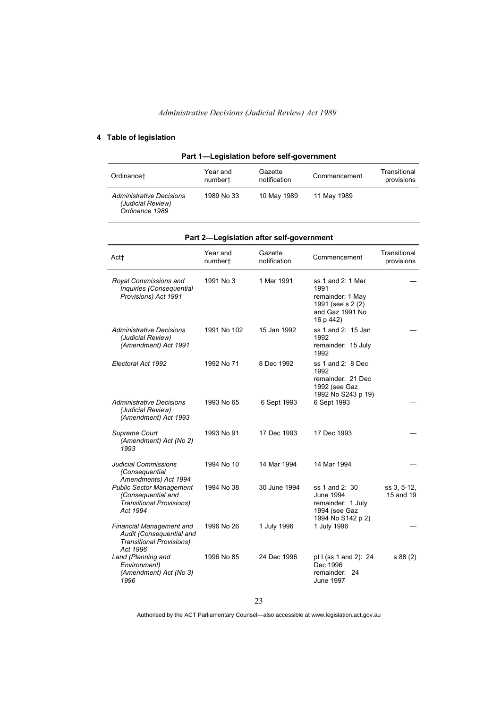### **4 Table of legislation**

| Part 1-Legislation before self-government                       |                     |                         |              |                            |
|-----------------------------------------------------------------|---------------------|-------------------------|--------------|----------------------------|
| Ordinance†                                                      | Year and<br>numbert | Gazette<br>notification | Commencement | Transitional<br>provisions |
| Administrative Decisions<br>(Judicial Review)<br>Ordinance 1989 | 1989 No 33          | 10 May 1989             | 11 May 1989  |                            |

|                                                                                                            |                     | an E-Legislation and sen-government |                                                                                                    |                            |
|------------------------------------------------------------------------------------------------------------|---------------------|-------------------------------------|----------------------------------------------------------------------------------------------------|----------------------------|
| Act+                                                                                                       | Year and<br>numbert | Gazette<br>notification             | Commencement                                                                                       | Transitional<br>provisions |
| Royal Commissions and<br>Inquiries (Consequential<br>Provisions) Act 1991                                  | 1991 No 3           | 1 Mar 1991                          | ss 1 and 2: 1 Mar<br>1991<br>remainder: 1 May<br>1991 (see s 2 (2)<br>and Gaz 1991 No<br>16 p 442) |                            |
| Administrative Decisions<br>(Judicial Review)<br>(Amendment) Act 1991                                      | 1991 No 102         | 15 Jan 1992                         | ss 1 and 2: 15 Jan<br>1992<br>remainder: 15 July<br>1992                                           |                            |
| Electoral Act 1992                                                                                         | 1992 No 71          | 8 Dec 1992                          | ss 1 and 2: 8 Dec<br>1992<br>remainder: 21 Dec<br>1992 (see Gaz<br>1992 No S243 p 19)              |                            |
| Administrative Decisions<br>(Judicial Review)<br>(Amendment) Act 1993                                      | 1993 No 65          | 6 Sept 1993                         | 6 Sept 1993                                                                                        |                            |
| Supreme Court<br>(Amendment) Act (No 2)<br>1993                                                            | 1993 No 91          | 17 Dec 1993                         | 17 Dec 1993                                                                                        |                            |
| <b>Judicial Commissions</b><br>(Consequential<br>Amendments) Act 1994                                      | 1994 No 10          | 14 Mar 1994                         | 14 Mar 1994                                                                                        |                            |
| <b>Public Sector Management</b><br>(Consequential and<br><b>Transitional Provisions)</b><br>Act 1994       | 1994 No 38          | 30 June 1994                        | ss 1 and 2: 30<br><b>June 1994</b><br>remainder: 1 July<br>1994 (see Gaz<br>1994 No S142 p 2)      | ss 3, 5-12,<br>15 and 19   |
| <b>Financial Management and</b><br>Audit (Consequential and<br><b>Transitional Provisions)</b><br>Act 1996 | 1996 No 26          | 1 July 1996                         | 1 July 1996                                                                                        |                            |
| Land (Planning and<br>Environment)<br>(Amendment) Act (No 3)<br>1996                                       | 1996 No 85          | 24 Dec 1996                         | pt I (ss 1 and 2): 24<br>Dec 1996<br>remainder: 24<br><b>June 1997</b>                             | s 88 (2)                   |

### **Part 2—Legislation after self-government**

23